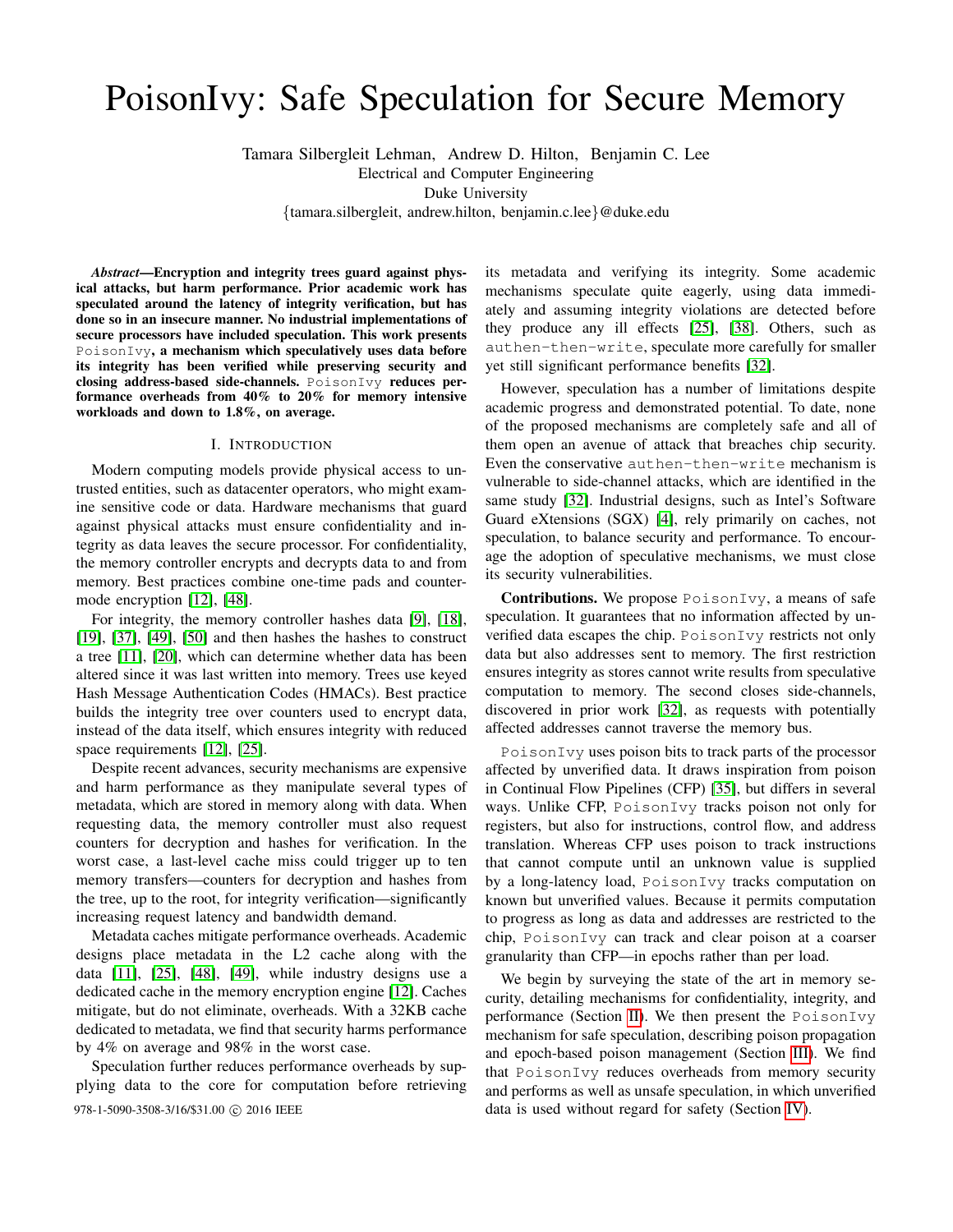# PoisonIvy: Safe Speculation for Secure Memory

Tamara Silbergleit Lehman, Andrew D. Hilton, Benjamin C. Lee

Electrical and Computer Engineering

Duke University

{tamara.silbergleit, andrew.hilton, benjamin.c.lee}@duke.edu

*Abstract*—Encryption and integrity trees guard against physical attacks, but harm performance. Prior academic work has speculated around the latency of integrity verification, but has done so in an insecure manner. No industrial implementations of secure processors have included speculation. This work presents PoisonIvy, a mechanism which speculatively uses data before its integrity has been verified while preserving security and closing address-based side-channels. PoisonIvy reduces performance overheads from 40% to 20% for memory intensive workloads and down to 1.8%, on average.

## I. INTRODUCTION

Modern computing models provide physical access to untrusted entities, such as datacenter operators, who might examine sensitive code or data. Hardware mechanisms that guard against physical attacks must ensure confidentiality and integrity as data leaves the secure processor. For confidentiality, the memory controller encrypts and decrypts data to and from memory. Best practices combine one-time pads and countermode encryption [\[12\]](#page-11-0), [\[48\]](#page-12-0).

For integrity, the memory controller hashes data [\[9\]](#page-11-1), [\[18\]](#page-12-1), [\[19\]](#page-12-2), [\[37\]](#page-12-3), [\[49\]](#page-12-4), [\[50\]](#page-12-5) and then hashes the hashes to construct a tree [\[11\]](#page-11-2), [\[20\]](#page-12-6), which can determine whether data has been altered since it was last written into memory. Trees use keyed Hash Message Authentication Codes (HMACs). Best practice builds the integrity tree over counters used to encrypt data, instead of the data itself, which ensures integrity with reduced space requirements [\[12\]](#page-11-0), [\[25\]](#page-12-7).

Despite recent advances, security mechanisms are expensive and harm performance as they manipulate several types of metadata, which are stored in memory along with data. When requesting data, the memory controller must also request counters for decryption and hashes for verification. In the worst case, a last-level cache miss could trigger up to ten memory transfers—counters for decryption and hashes from the tree, up to the root, for integrity verification—significantly increasing request latency and bandwidth demand.

Metadata caches mitigate performance overheads. Academic designs place metadata in the L2 cache along with the data [\[11\]](#page-11-2), [\[25\]](#page-12-7), [\[48\]](#page-12-0), [\[49\]](#page-12-4), while industry designs use a dedicated cache in the memory encryption engine [\[12\]](#page-11-0). Caches mitigate, but do not eliminate, overheads. With a 32KB cache dedicated to metadata, we find that security harms performance by 4% on average and 98% in the worst case.

Speculation further reduces performance overheads by supplying data to the core for computation before retrieving 978-1-5090-3508-3/16/\$31.00 C 2016 IEEE data is used without regard for safety (Section [IV\)](#page-7-0).

its metadata and verifying its integrity. Some academic mechanisms speculate quite eagerly, using data immediately and assuming integrity violations are detected before they produce any ill effects [\[25\]](#page-12-7), [\[38\]](#page-12-8). Others, such as authen-then-write, speculate more carefully for smaller yet still significant performance benefits [\[32\]](#page-12-9).

However, speculation has a number of limitations despite academic progress and demonstrated potential. To date, none of the proposed mechanisms are completely safe and all of them open an avenue of attack that breaches chip security. Even the conservative authen-then-write mechanism is vulnerable to side-channel attacks, which are identified in the same study [\[32\]](#page-12-9). Industrial designs, such as Intel's Software Guard eXtensions (SGX) [\[4\]](#page-11-3), rely primarily on caches, not speculation, to balance security and performance. To encourage the adoption of speculative mechanisms, we must close its security vulnerabilities.

Contributions. We propose PoisonIvy, a means of safe speculation. It guarantees that no information affected by unverified data escapes the chip. PoisonIvy restricts not only data but also addresses sent to memory. The first restriction ensures integrity as stores cannot write results from speculative computation to memory. The second closes side-channels, discovered in prior work [\[32\]](#page-12-9), as requests with potentially affected addresses cannot traverse the memory bus.

PoisonIvy uses poison bits to track parts of the processor affected by unverified data. It draws inspiration from poison in Continual Flow Pipelines (CFP) [\[35\]](#page-12-10), but differs in several ways. Unlike CFP, PoisonIvy tracks poison not only for registers, but also for instructions, control flow, and address translation. Whereas CFP uses poison to track instructions that cannot compute until an unknown value is supplied by a long-latency load, PoisonIvy tracks computation on known but unverified values. Because it permits computation to progress as long as data and addresses are restricted to the chip, PoisonIvy can track and clear poison at a coarser granularity than CFP—in epochs rather than per load.

We begin by surveying the state of the art in memory security, detailing mechanisms for confidentiality, integrity, and performance (Section [II\)](#page-1-0). We then present the PoisonIvy mechanism for safe speculation, describing poison propagation and epoch-based poison management (Section [III\)](#page-3-0). We find that PoisonIvy reduces overheads from memory security and performs as well as unsafe speculation, in which unverified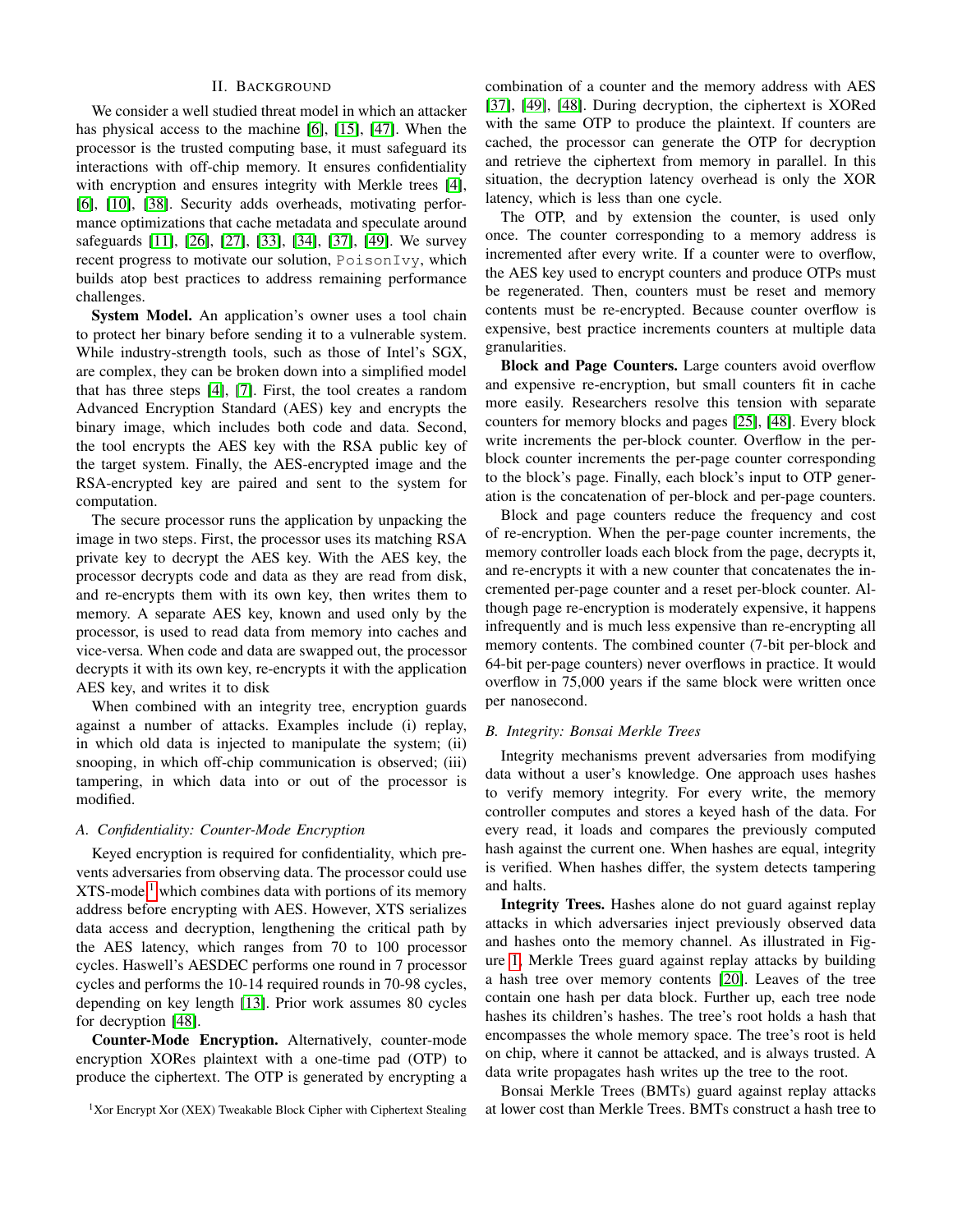# II. BACKGROUND

<span id="page-1-0"></span>We consider a well studied threat model in which an attacker has physical access to the machine [\[6\]](#page-11-4), [\[15\]](#page-11-5), [\[47\]](#page-12-11). When the processor is the trusted computing base, it must safeguard its interactions with off-chip memory. It ensures confidentiality with encryption and ensures integrity with Merkle trees [\[4\]](#page-11-3), [\[6\]](#page-11-4), [\[10\]](#page-11-6), [\[38\]](#page-12-8). Security adds overheads, motivating performance optimizations that cache metadata and speculate around safeguards [\[11\]](#page-11-2), [\[26\]](#page-12-12), [\[27\]](#page-12-13), [\[33\]](#page-12-14), [\[34\]](#page-12-15), [\[37\]](#page-12-3), [\[49\]](#page-12-4). We survey recent progress to motivate our solution, PoisonIvy, which builds atop best practices to address remaining performance challenges.

System Model. An application's owner uses a tool chain to protect her binary before sending it to a vulnerable system. While industry-strength tools, such as those of Intel's SGX, are complex, they can be broken down into a simplified model that has three steps [\[4\]](#page-11-3), [\[7\]](#page-11-7). First, the tool creates a random Advanced Encryption Standard (AES) key and encrypts the binary image, which includes both code and data. Second, the tool encrypts the AES key with the RSA public key of the target system. Finally, the AES-encrypted image and the RSA-encrypted key are paired and sent to the system for computation.

The secure processor runs the application by unpacking the image in two steps. First, the processor uses its matching RSA private key to decrypt the AES key. With the AES key, the processor decrypts code and data as they are read from disk, and re-encrypts them with its own key, then writes them to memory. A separate AES key, known and used only by the processor, is used to read data from memory into caches and vice-versa. When code and data are swapped out, the processor decrypts it with its own key, re-encrypts it with the application AES key, and writes it to disk

When combined with an integrity tree, encryption guards against a number of attacks. Examples include (i) replay, in which old data is injected to manipulate the system; (ii) snooping, in which off-chip communication is observed; (iii) tampering, in which data into or out of the processor is modified.

# *A. Confidentiality: Counter-Mode Encryption*

Keyed encryption is required for confidentiality, which prevents adversaries from observing data. The processor could use  $XTS$ -mode,<sup>[1](#page-1-1)</sup> which combines data with portions of its memory address before encrypting with AES. However, XTS serializes data access and decryption, lengthening the critical path by the AES latency, which ranges from 70 to 100 processor cycles. Haswell's AESDEC performs one round in 7 processor cycles and performs the 10-14 required rounds in 70-98 cycles, depending on key length [\[13\]](#page-11-8). Prior work assumes 80 cycles for decryption [\[48\]](#page-12-0).

Counter-Mode Encryption. Alternatively, counter-mode encryption XORes plaintext with a one-time pad (OTP) to produce the ciphertext. The OTP is generated by encrypting a combination of a counter and the memory address with AES [\[37\]](#page-12-3), [\[49\]](#page-12-4), [\[48\]](#page-12-0). During decryption, the ciphertext is XORed with the same OTP to produce the plaintext. If counters are cached, the processor can generate the OTP for decryption and retrieve the ciphertext from memory in parallel. In this situation, the decryption latency overhead is only the XOR latency, which is less than one cycle.

The OTP, and by extension the counter, is used only once. The counter corresponding to a memory address is incremented after every write. If a counter were to overflow, the AES key used to encrypt counters and produce OTPs must be regenerated. Then, counters must be reset and memory contents must be re-encrypted. Because counter overflow is expensive, best practice increments counters at multiple data granularities.

Block and Page Counters. Large counters avoid overflow and expensive re-encryption, but small counters fit in cache more easily. Researchers resolve this tension with separate counters for memory blocks and pages [\[25\]](#page-12-7), [\[48\]](#page-12-0). Every block write increments the per-block counter. Overflow in the perblock counter increments the per-page counter corresponding to the block's page. Finally, each block's input to OTP generation is the concatenation of per-block and per-page counters.

Block and page counters reduce the frequency and cost of re-encryption. When the per-page counter increments, the memory controller loads each block from the page, decrypts it, and re-encrypts it with a new counter that concatenates the incremented per-page counter and a reset per-block counter. Although page re-encryption is moderately expensive, it happens infrequently and is much less expensive than re-encrypting all memory contents. The combined counter (7-bit per-block and 64-bit per-page counters) never overflows in practice. It would overflow in 75,000 years if the same block were written once per nanosecond.

## *B. Integrity: Bonsai Merkle Trees*

Integrity mechanisms prevent adversaries from modifying data without a user's knowledge. One approach uses hashes to verify memory integrity. For every write, the memory controller computes and stores a keyed hash of the data. For every read, it loads and compares the previously computed hash against the current one. When hashes are equal, integrity is verified. When hashes differ, the system detects tampering and halts.

Integrity Trees. Hashes alone do not guard against replay attacks in which adversaries inject previously observed data and hashes onto the memory channel. As illustrated in Figure [1,](#page-2-0) Merkle Trees guard against replay attacks by building a hash tree over memory contents [\[20\]](#page-12-6). Leaves of the tree contain one hash per data block. Further up, each tree node hashes its children's hashes. The tree's root holds a hash that encompasses the whole memory space. The tree's root is held on chip, where it cannot be attacked, and is always trusted. A data write propagates hash writes up the tree to the root.

Bonsai Merkle Trees (BMTs) guard against replay attacks at lower cost than Merkle Trees. BMTs construct a hash tree to

<span id="page-1-1"></span> $1$ Xor Encrypt Xor (XEX) Tweakable Block Cipher with Ciphertext Stealing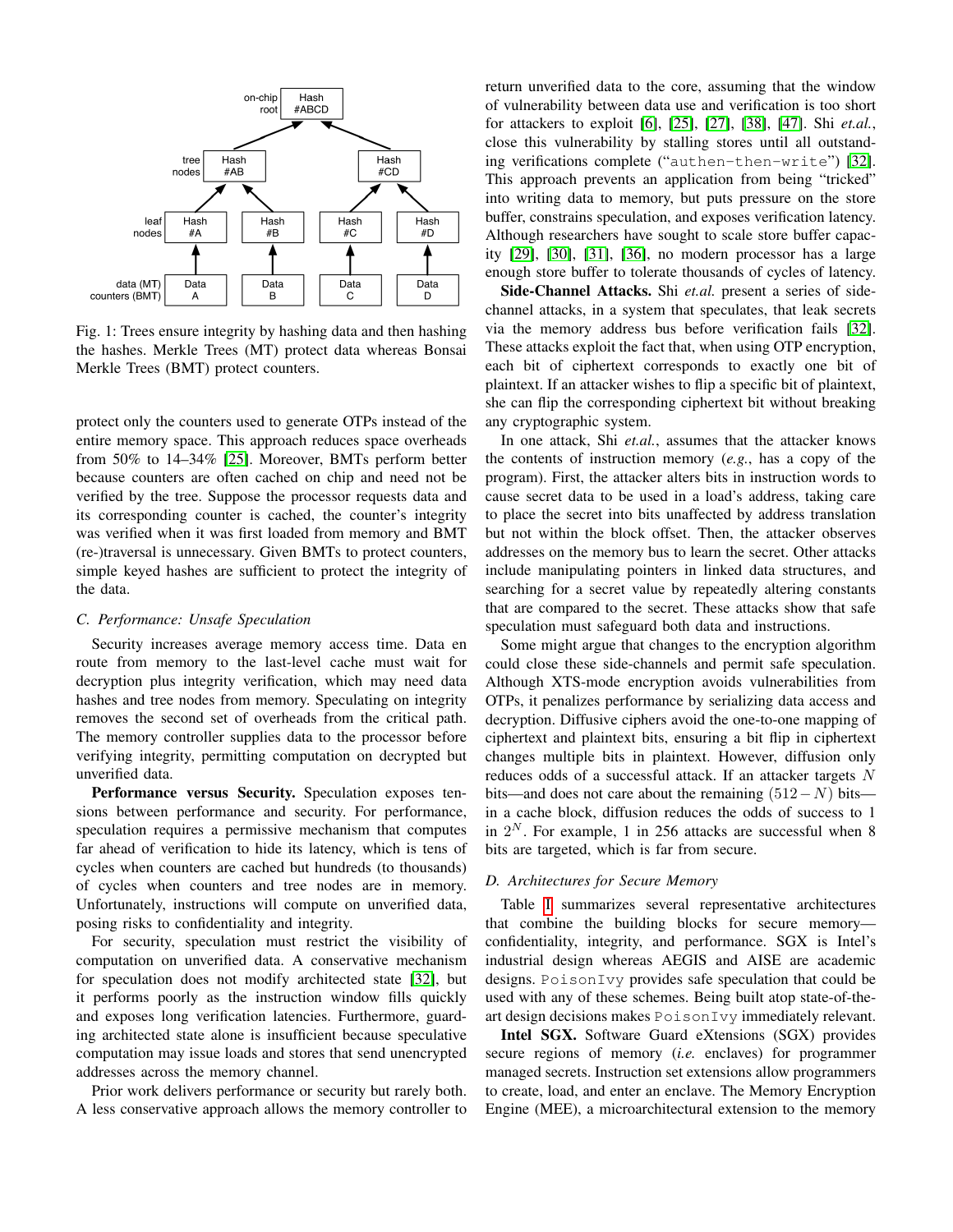<span id="page-2-0"></span>

Fig. 1: Trees ensure integrity by hashing data and then hashing the hashes. Merkle Trees (MT) protect data whereas Bonsai Merkle Trees (BMT) protect counters.

protect only the counters used to generate OTPs instead of the entire memory space. This approach reduces space overheads from 50% to 14–34% [\[25\]](#page-12-7). Moreover, BMTs perform better because counters are often cached on chip and need not be verified by the tree. Suppose the processor requests data and its corresponding counter is cached, the counter's integrity was verified when it was first loaded from memory and BMT (re-)traversal is unnecessary. Given BMTs to protect counters, simple keyed hashes are sufficient to protect the integrity of the data.

## *C. Performance: Unsafe Speculation*

Security increases average memory access time. Data en route from memory to the last-level cache must wait for decryption plus integrity verification, which may need data hashes and tree nodes from memory. Speculating on integrity removes the second set of overheads from the critical path. The memory controller supplies data to the processor before verifying integrity, permitting computation on decrypted but unverified data.

Performance versus Security. Speculation exposes tensions between performance and security. For performance, speculation requires a permissive mechanism that computes far ahead of verification to hide its latency, which is tens of cycles when counters are cached but hundreds (to thousands) of cycles when counters and tree nodes are in memory. Unfortunately, instructions will compute on unverified data, posing risks to confidentiality and integrity.

For security, speculation must restrict the visibility of computation on unverified data. A conservative mechanism for speculation does not modify architected state [\[32\]](#page-12-9), but it performs poorly as the instruction window fills quickly and exposes long verification latencies. Furthermore, guarding architected state alone is insufficient because speculative computation may issue loads and stores that send unencrypted addresses across the memory channel.

Prior work delivers performance or security but rarely both. A less conservative approach allows the memory controller to return unverified data to the core, assuming that the window of vulnerability between data use and verification is too short for attackers to exploit [\[6\]](#page-11-4), [\[25\]](#page-12-7), [\[27\]](#page-12-13), [\[38\]](#page-12-8), [\[47\]](#page-12-11). Shi *et.al.*, close this vulnerability by stalling stores until all outstanding verifications complete ("authen-then-write") [\[32\]](#page-12-9). This approach prevents an application from being "tricked" into writing data to memory, but puts pressure on the store buffer, constrains speculation, and exposes verification latency. Although researchers have sought to scale store buffer capacity [\[29\]](#page-12-16), [\[30\]](#page-12-17), [\[31\]](#page-12-18), [\[36\]](#page-12-19), no modern processor has a large enough store buffer to tolerate thousands of cycles of latency.

Side-Channel Attacks. Shi *et.al.* present a series of sidechannel attacks, in a system that speculates, that leak secrets via the memory address bus before verification fails [\[32\]](#page-12-9). These attacks exploit the fact that, when using OTP encryption, each bit of ciphertext corresponds to exactly one bit of plaintext. If an attacker wishes to flip a specific bit of plaintext, she can flip the corresponding ciphertext bit without breaking any cryptographic system.

In one attack, Shi *et.al.*, assumes that the attacker knows the contents of instruction memory (*e.g.*, has a copy of the program). First, the attacker alters bits in instruction words to cause secret data to be used in a load's address, taking care to place the secret into bits unaffected by address translation but not within the block offset. Then, the attacker observes addresses on the memory bus to learn the secret. Other attacks include manipulating pointers in linked data structures, and searching for a secret value by repeatedly altering constants that are compared to the secret. These attacks show that safe speculation must safeguard both data and instructions.

Some might argue that changes to the encryption algorithm could close these side-channels and permit safe speculation. Although XTS-mode encryption avoids vulnerabilities from OTPs, it penalizes performance by serializing data access and decryption. Diffusive ciphers avoid the one-to-one mapping of ciphertext and plaintext bits, ensuring a bit flip in ciphertext changes multiple bits in plaintext. However, diffusion only reduces odds of a successful attack. If an attacker targets N bits—and does not care about the remaining  $(512-N)$  bits in a cache block, diffusion reduces the odds of success to 1 in  $2^N$ . For example, 1 in 256 attacks are successful when 8 bits are targeted, which is far from secure.

# *D. Architectures for Secure Memory*

Table [I](#page-3-1) summarizes several representative architectures that combine the building blocks for secure memory confidentiality, integrity, and performance. SGX is Intel's industrial design whereas AEGIS and AISE are academic designs. PoisonIvy provides safe speculation that could be used with any of these schemes. Being built atop state-of-theart design decisions makes PoisonIvy immediately relevant.

Intel SGX. Software Guard eXtensions (SGX) provides secure regions of memory (*i.e.* enclaves) for programmer managed secrets. Instruction set extensions allow programmers to create, load, and enter an enclave. The Memory Encryption Engine (MEE), a microarchitectural extension to the memory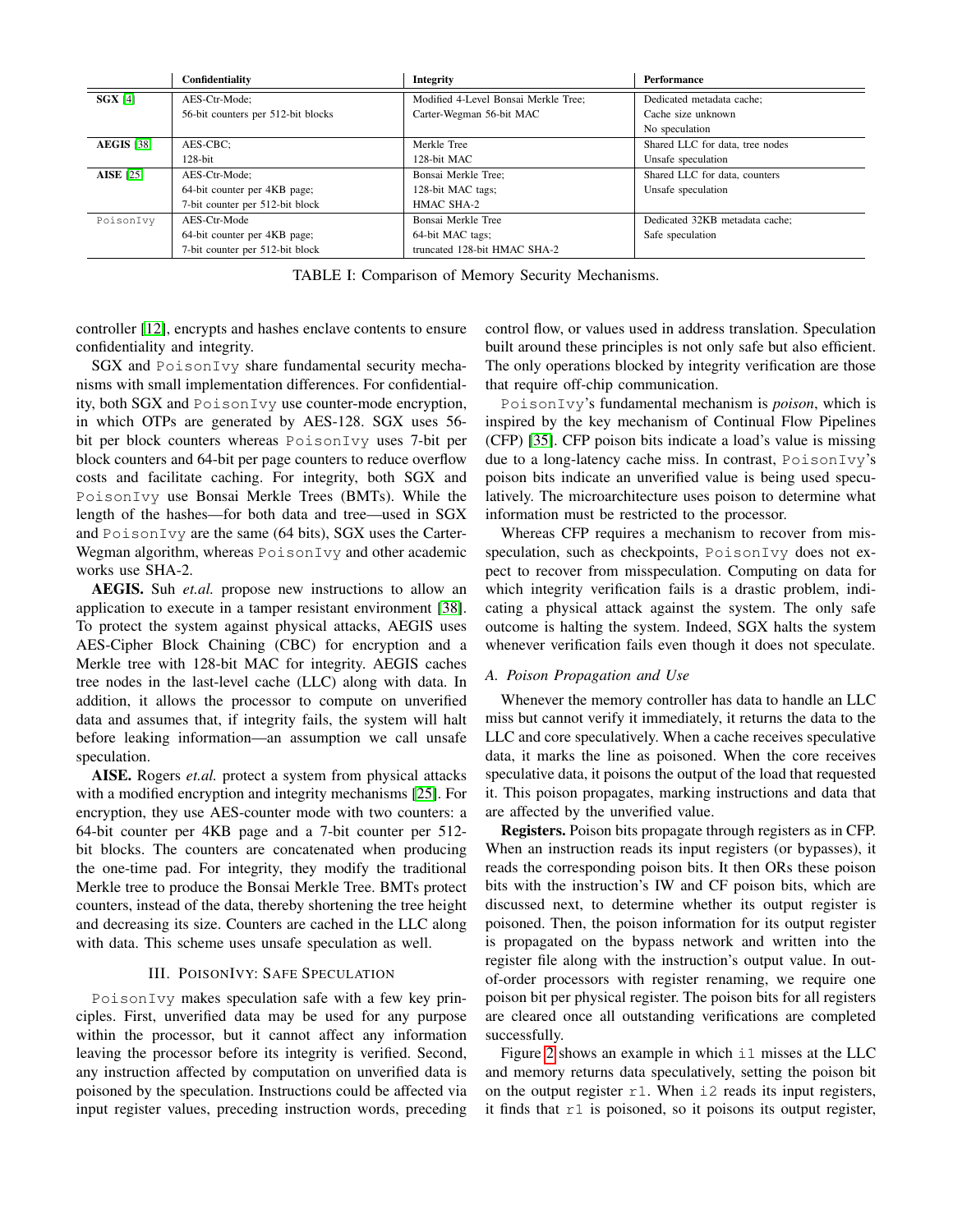<span id="page-3-1"></span>

|                   | Confidentiality                    | <b>Integrity</b>                     | Performance                     |
|-------------------|------------------------------------|--------------------------------------|---------------------------------|
| $SGX$ [4]         | AES-Ctr-Mode:                      | Modified 4-Level Bonsai Merkle Tree; | Dedicated metadata cache;       |
|                   | 56-bit counters per 512-bit blocks | Carter-Wegman 56-bit MAC             | Cache size unknown              |
|                   |                                    |                                      | No speculation                  |
| <b>AEGIS</b> [38] | AES-CBC:                           | Merkle Tree                          | Shared LLC for data, tree nodes |
|                   | $128$ -bit                         | 128-bit MAC                          | Unsafe speculation              |
| <b>AISE</b> [25]  | AES-Ctr-Mode:                      | Bonsai Merkle Tree:                  | Shared LLC for data, counters   |
|                   | 64-bit counter per 4KB page;       | 128-bit MAC tags;                    | Unsafe speculation              |
|                   | 7-bit counter per 512-bit block    | HMAC SHA-2                           |                                 |
| PoisonIvy         | AES-Ctr-Mode                       | Bonsai Merkle Tree                   | Dedicated 32KB metadata cache;  |
|                   | 64-bit counter per 4KB page;       | 64-bit MAC tags;                     | Safe speculation                |
|                   | 7-bit counter per 512-bit block    | truncated 128-bit HMAC SHA-2         |                                 |

TABLE I: Comparison of Memory Security Mechanisms.

controller [\[12\]](#page-11-0), encrypts and hashes enclave contents to ensure confidentiality and integrity.

SGX and PoisonIvy share fundamental security mechanisms with small implementation differences. For confidentiality, both SGX and PoisonIvy use counter-mode encryption, in which OTPs are generated by AES-128. SGX uses 56 bit per block counters whereas PoisonIvy uses 7-bit per block counters and 64-bit per page counters to reduce overflow costs and facilitate caching. For integrity, both SGX and PoisonIvy use Bonsai Merkle Trees (BMTs). While the length of the hashes—for both data and tree—used in SGX and PoisonIvy are the same (64 bits), SGX uses the Carter-Wegman algorithm, whereas PoisonIvy and other academic works use SHA-2.

AEGIS. Suh *et.al.* propose new instructions to allow an application to execute in a tamper resistant environment [\[38\]](#page-12-8). To protect the system against physical attacks, AEGIS uses AES-Cipher Block Chaining (CBC) for encryption and a Merkle tree with 128-bit MAC for integrity. AEGIS caches tree nodes in the last-level cache (LLC) along with data. In addition, it allows the processor to compute on unverified data and assumes that, if integrity fails, the system will halt before leaking information—an assumption we call unsafe speculation.

AISE. Rogers *et.al.* protect a system from physical attacks with a modified encryption and integrity mechanisms [\[25\]](#page-12-7). For encryption, they use AES-counter mode with two counters: a 64-bit counter per 4KB page and a 7-bit counter per 512 bit blocks. The counters are concatenated when producing the one-time pad. For integrity, they modify the traditional Merkle tree to produce the Bonsai Merkle Tree. BMTs protect counters, instead of the data, thereby shortening the tree height and decreasing its size. Counters are cached in the LLC along with data. This scheme uses unsafe speculation as well.

# III. POISONIVY: SAFE SPECULATION

<span id="page-3-0"></span>PoisonIvy makes speculation safe with a few key principles. First, unverified data may be used for any purpose within the processor, but it cannot affect any information leaving the processor before its integrity is verified. Second, any instruction affected by computation on unverified data is poisoned by the speculation. Instructions could be affected via input register values, preceding instruction words, preceding control flow, or values used in address translation. Speculation built around these principles is not only safe but also efficient. The only operations blocked by integrity verification are those that require off-chip communication.

PoisonIvy's fundamental mechanism is *poison*, which is inspired by the key mechanism of Continual Flow Pipelines (CFP) [\[35\]](#page-12-10). CFP poison bits indicate a load's value is missing due to a long-latency cache miss. In contrast, PoisonIvy's poison bits indicate an unverified value is being used speculatively. The microarchitecture uses poison to determine what information must be restricted to the processor.

Whereas CFP requires a mechanism to recover from misspeculation, such as checkpoints, PoisonIvy does not expect to recover from misspeculation. Computing on data for which integrity verification fails is a drastic problem, indicating a physical attack against the system. The only safe outcome is halting the system. Indeed, SGX halts the system whenever verification fails even though it does not speculate.

#### *A. Poison Propagation and Use*

Whenever the memory controller has data to handle an LLC miss but cannot verify it immediately, it returns the data to the LLC and core speculatively. When a cache receives speculative data, it marks the line as poisoned. When the core receives speculative data, it poisons the output of the load that requested it. This poison propagates, marking instructions and data that are affected by the unverified value.

Registers. Poison bits propagate through registers as in CFP. When an instruction reads its input registers (or bypasses), it reads the corresponding poison bits. It then ORs these poison bits with the instruction's IW and CF poison bits, which are discussed next, to determine whether its output register is poisoned. Then, the poison information for its output register is propagated on the bypass network and written into the register file along with the instruction's output value. In outof-order processors with register renaming, we require one poison bit per physical register. The poison bits for all registers are cleared once all outstanding verifications are completed successfully.

Figure [2](#page-4-0) shows an example in which i1 misses at the LLC and memory returns data speculatively, setting the poison bit on the output register  $r1$ . When i2 reads its input registers, it finds that  $r1$  is poisoned, so it poisons its output register,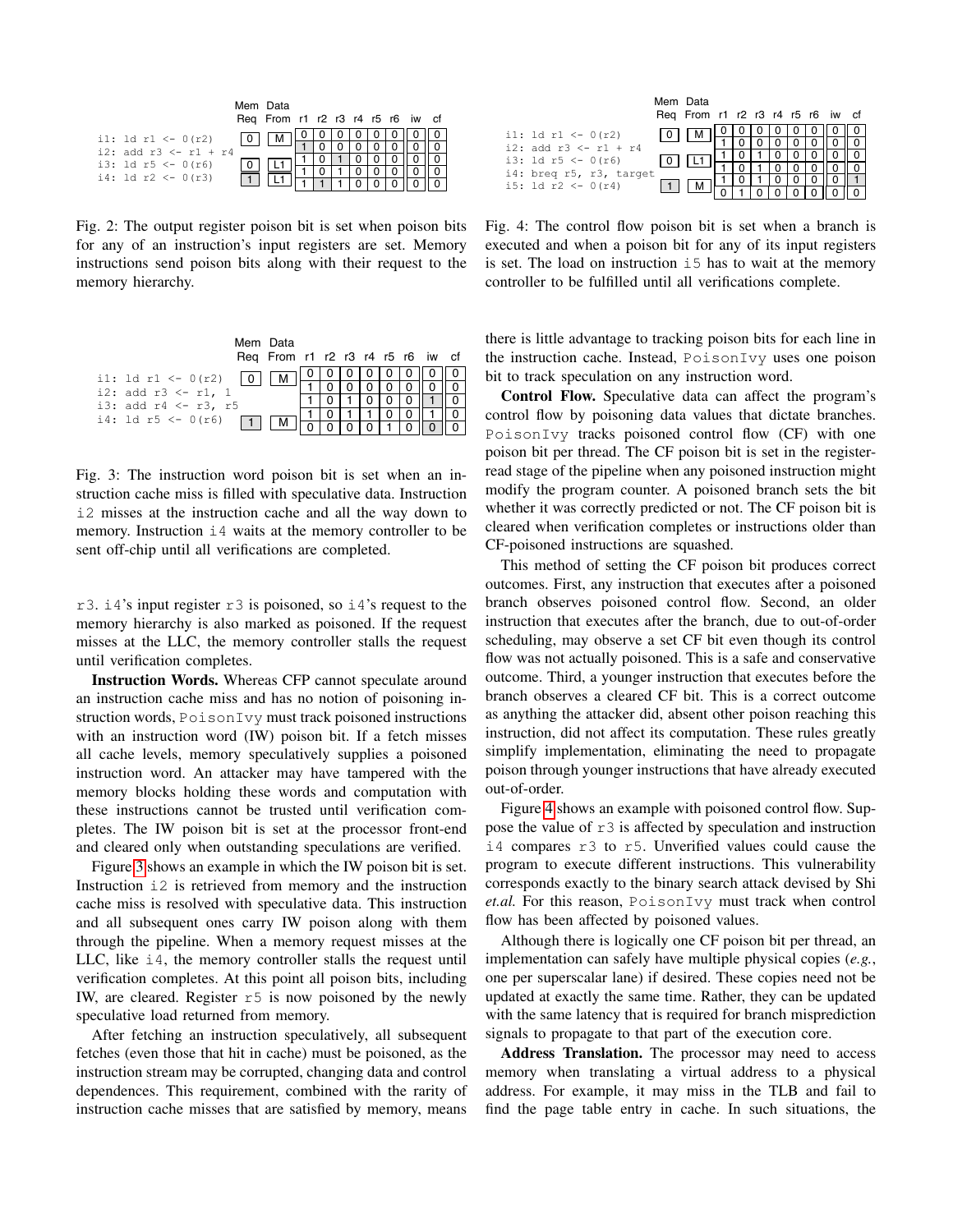<span id="page-4-0"></span>

|                          |          | Mem Data<br>Reg From r1 r2 r3 r4 r5 r6 iw cf |  |  |  |  |
|--------------------------|----------|----------------------------------------------|--|--|--|--|
| il: 1d r1 <- $0(r2)$     | $\Omega$ |                                              |  |  |  |  |
| i2: add $r3 < - r1 + r4$ |          |                                              |  |  |  |  |
| i3: 1d $r5 < -0(r6)$     |          |                                              |  |  |  |  |
| i4: 1d $r2 \le -0(r3)$   |          |                                              |  |  |  |  |
|                          |          |                                              |  |  |  |  |

Fig. 2: The output register poison bit is set when poison bits for any of an instruction's input registers are set. Memory instructions send poison bits along with their request to the memory hierarchy.

<span id="page-4-1"></span>

| Mem Data<br>Reg From r1 r2 r3 r4 r5 r6 iw cf |  |  |  |  |
|----------------------------------------------|--|--|--|--|
| i1: $1d r1 \leftarrow 0(r2)$                 |  |  |  |  |
| i2: add $r3 < -r1$ , 1                       |  |  |  |  |
| i3: add r4 <- r3, r5                         |  |  |  |  |
| i4: 1d $r5 \le -0(r6)$                       |  |  |  |  |
|                                              |  |  |  |  |

Fig. 3: The instruction word poison bit is set when an instruction cache miss is filled with speculative data. Instruction i2 misses at the instruction cache and all the way down to memory. Instruction  $\pm 4$  waits at the memory controller to be sent off-chip until all verifications are completed.

r3. i4's input register r3 is poisoned, so i4's request to the memory hierarchy is also marked as poisoned. If the request misses at the LLC, the memory controller stalls the request until verification completes.

Instruction Words. Whereas CFP cannot speculate around an instruction cache miss and has no notion of poisoning instruction words, PoisonIvy must track poisoned instructions with an instruction word (IW) poison bit. If a fetch misses all cache levels, memory speculatively supplies a poisoned instruction word. An attacker may have tampered with the memory blocks holding these words and computation with these instructions cannot be trusted until verification completes. The IW poison bit is set at the processor front-end and cleared only when outstanding speculations are verified.

Figure [3](#page-4-1) shows an example in which the IW poison bit is set. Instruction i2 is retrieved from memory and the instruction cache miss is resolved with speculative data. This instruction and all subsequent ones carry IW poison along with them through the pipeline. When a memory request misses at the LLC, like i4, the memory controller stalls the request until verification completes. At this point all poison bits, including IW, are cleared. Register  $r5$  is now poisoned by the newly speculative load returned from memory.

After fetching an instruction speculatively, all subsequent fetches (even those that hit in cache) must be poisoned, as the instruction stream may be corrupted, changing data and control dependences. This requirement, combined with the rarity of instruction cache misses that are satisfied by memory, means

<span id="page-4-2"></span>

|                          | Mem Data                         |  |  |  |  |
|--------------------------|----------------------------------|--|--|--|--|
|                          | Req From r1 r2 r3 r4 r5 r6 iw cf |  |  |  |  |
| il: 1d r1 <- $0(r2)$     |                                  |  |  |  |  |
| i2: add $r3 < - r1 + r4$ |                                  |  |  |  |  |
| i3: 1d $r5 < -0(r6)$     |                                  |  |  |  |  |
| i4: breq r5, r3, target  |                                  |  |  |  |  |
| i5: 1d $r2 \le -0(r4)$   |                                  |  |  |  |  |
|                          |                                  |  |  |  |  |

Fig. 4: The control flow poison bit is set when a branch is executed and when a poison bit for any of its input registers is set. The load on instruction  $i5$  has to wait at the memory controller to be fulfilled until all verifications complete.

there is little advantage to tracking poison bits for each line in the instruction cache. Instead, PoisonIvy uses one poison bit to track speculation on any instruction word.

Control Flow. Speculative data can affect the program's control flow by poisoning data values that dictate branches. PoisonIvy tracks poisoned control flow (CF) with one poison bit per thread. The CF poison bit is set in the registerread stage of the pipeline when any poisoned instruction might modify the program counter. A poisoned branch sets the bit whether it was correctly predicted or not. The CF poison bit is cleared when verification completes or instructions older than CF-poisoned instructions are squashed.

This method of setting the CF poison bit produces correct outcomes. First, any instruction that executes after a poisoned branch observes poisoned control flow. Second, an older instruction that executes after the branch, due to out-of-order scheduling, may observe a set CF bit even though its control flow was not actually poisoned. This is a safe and conservative outcome. Third, a younger instruction that executes before the branch observes a cleared CF bit. This is a correct outcome as anything the attacker did, absent other poison reaching this instruction, did not affect its computation. These rules greatly simplify implementation, eliminating the need to propagate poison through younger instructions that have already executed out-of-order.

Figure [4](#page-4-2) shows an example with poisoned control flow. Suppose the value of  $r3$  is affected by speculation and instruction i4 compares r3 to r5. Unverified values could cause the program to execute different instructions. This vulnerability corresponds exactly to the binary search attack devised by Shi *et.al.* For this reason, PoisonIvy must track when control flow has been affected by poisoned values.

Although there is logically one CF poison bit per thread, an implementation can safely have multiple physical copies (*e.g.*, one per superscalar lane) if desired. These copies need not be updated at exactly the same time. Rather, they can be updated with the same latency that is required for branch misprediction signals to propagate to that part of the execution core.

Address Translation. The processor may need to access memory when translating a virtual address to a physical address. For example, it may miss in the TLB and fail to find the page table entry in cache. In such situations, the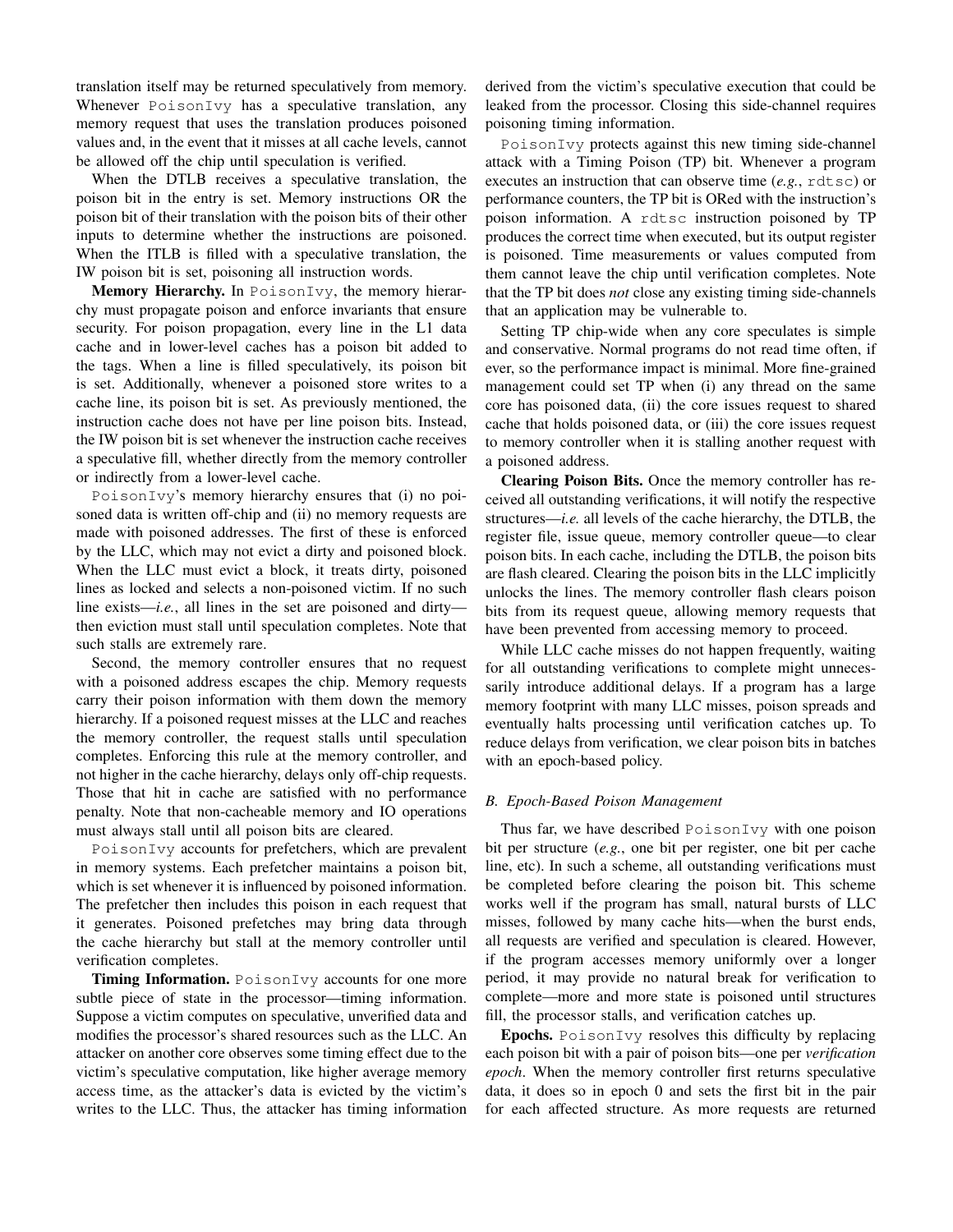translation itself may be returned speculatively from memory. Whenever PoisonIvy has a speculative translation, any memory request that uses the translation produces poisoned values and, in the event that it misses at all cache levels, cannot be allowed off the chip until speculation is verified.

When the DTLB receives a speculative translation, the poison bit in the entry is set. Memory instructions OR the poison bit of their translation with the poison bits of their other inputs to determine whether the instructions are poisoned. When the ITLB is filled with a speculative translation, the IW poison bit is set, poisoning all instruction words.

Memory Hierarchy. In PoisonIvy, the memory hierarchy must propagate poison and enforce invariants that ensure security. For poison propagation, every line in the L1 data cache and in lower-level caches has a poison bit added to the tags. When a line is filled speculatively, its poison bit is set. Additionally, whenever a poisoned store writes to a cache line, its poison bit is set. As previously mentioned, the instruction cache does not have per line poison bits. Instead, the IW poison bit is set whenever the instruction cache receives a speculative fill, whether directly from the memory controller or indirectly from a lower-level cache.

PoisonIvy's memory hierarchy ensures that (i) no poisoned data is written off-chip and (ii) no memory requests are made with poisoned addresses. The first of these is enforced by the LLC, which may not evict a dirty and poisoned block. When the LLC must evict a block, it treats dirty, poisoned lines as locked and selects a non-poisoned victim. If no such line exists—*i.e.*, all lines in the set are poisoned and dirty then eviction must stall until speculation completes. Note that such stalls are extremely rare.

Second, the memory controller ensures that no request with a poisoned address escapes the chip. Memory requests carry their poison information with them down the memory hierarchy. If a poisoned request misses at the LLC and reaches the memory controller, the request stalls until speculation completes. Enforcing this rule at the memory controller, and not higher in the cache hierarchy, delays only off-chip requests. Those that hit in cache are satisfied with no performance penalty. Note that non-cacheable memory and IO operations must always stall until all poison bits are cleared.

PoisonIvy accounts for prefetchers, which are prevalent in memory systems. Each prefetcher maintains a poison bit, which is set whenever it is influenced by poisoned information. The prefetcher then includes this poison in each request that it generates. Poisoned prefetches may bring data through the cache hierarchy but stall at the memory controller until verification completes.

**Timing Information.** PoisonIvy accounts for one more subtle piece of state in the processor—timing information. Suppose a victim computes on speculative, unverified data and modifies the processor's shared resources such as the LLC. An attacker on another core observes some timing effect due to the victim's speculative computation, like higher average memory access time, as the attacker's data is evicted by the victim's writes to the LLC. Thus, the attacker has timing information derived from the victim's speculative execution that could be leaked from the processor. Closing this side-channel requires poisoning timing information.

PoisonIvy protects against this new timing side-channel attack with a Timing Poison (TP) bit. Whenever a program executes an instruction that can observe time (*e.g.*, rdtsc) or performance counters, the TP bit is ORed with the instruction's poison information. A rdtsc instruction poisoned by TP produces the correct time when executed, but its output register is poisoned. Time measurements or values computed from them cannot leave the chip until verification completes. Note that the TP bit does *not* close any existing timing side-channels that an application may be vulnerable to.

Setting TP chip-wide when any core speculates is simple and conservative. Normal programs do not read time often, if ever, so the performance impact is minimal. More fine-grained management could set TP when (i) any thread on the same core has poisoned data, (ii) the core issues request to shared cache that holds poisoned data, or (iii) the core issues request to memory controller when it is stalling another request with a poisoned address.

Clearing Poison Bits. Once the memory controller has received all outstanding verifications, it will notify the respective structures—*i.e.* all levels of the cache hierarchy, the DTLB, the register file, issue queue, memory controller queue—to clear poison bits. In each cache, including the DTLB, the poison bits are flash cleared. Clearing the poison bits in the LLC implicitly unlocks the lines. The memory controller flash clears poison bits from its request queue, allowing memory requests that have been prevented from accessing memory to proceed.

While LLC cache misses do not happen frequently, waiting for all outstanding verifications to complete might unnecessarily introduce additional delays. If a program has a large memory footprint with many LLC misses, poison spreads and eventually halts processing until verification catches up. To reduce delays from verification, we clear poison bits in batches with an epoch-based policy.

## *B. Epoch-Based Poison Management*

Thus far, we have described PoisonIvy with one poison bit per structure (*e.g.*, one bit per register, one bit per cache line, etc). In such a scheme, all outstanding verifications must be completed before clearing the poison bit. This scheme works well if the program has small, natural bursts of LLC misses, followed by many cache hits—when the burst ends, all requests are verified and speculation is cleared. However, if the program accesses memory uniformly over a longer period, it may provide no natural break for verification to complete—more and more state is poisoned until structures fill, the processor stalls, and verification catches up.

Epochs. PoisonIvy resolves this difficulty by replacing each poison bit with a pair of poison bits—one per *verification epoch*. When the memory controller first returns speculative data, it does so in epoch 0 and sets the first bit in the pair for each affected structure. As more requests are returned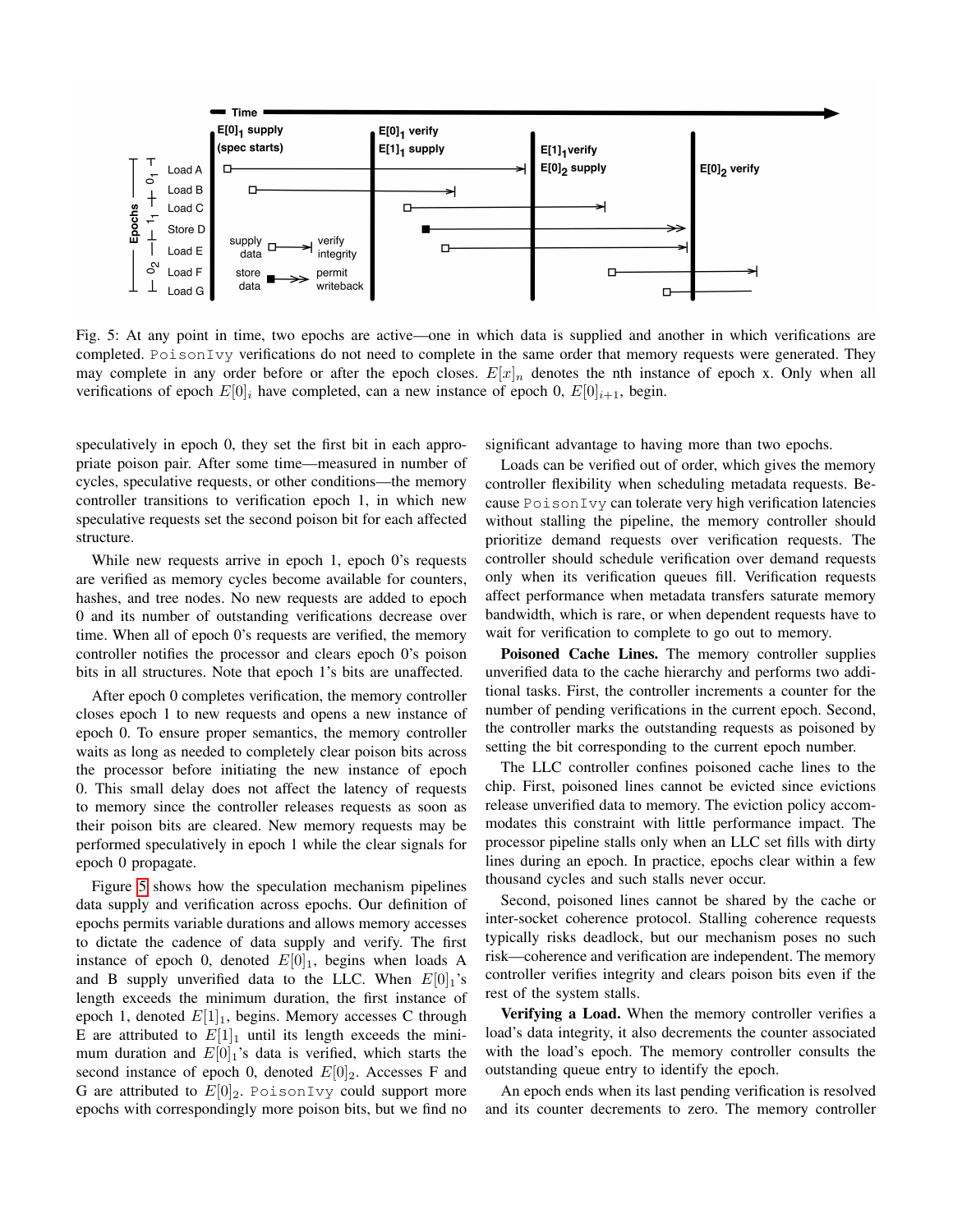<span id="page-6-0"></span>

Fig. 5: At any point in time, two epochs are active—one in which data is supplied and another in which verifications are completed. PoisonIvy verifications do not need to complete in the same order that memory requests were generated. They may complete in any order before or after the epoch closes.  $E[x]_n$  denotes the nth instance of epoch x. Only when all verifications of epoch  $E[0]_i$  have completed, can a new instance of epoch 0,  $E[0]_{i+1}$ , begin.

speculatively in epoch 0, they set the first bit in each appropriate poison pair. After some time—measured in number of cycles, speculative requests, or other conditions—the memory controller transitions to verification epoch 1, in which new speculative requests set the second poison bit for each affected structure.

While new requests arrive in epoch 1, epoch 0's requests are verified as memory cycles become available for counters, hashes, and tree nodes. No new requests are added to epoch 0 and its number of outstanding verifications decrease over time. When all of epoch 0's requests are verified, the memory controller notifies the processor and clears epoch 0's poison bits in all structures. Note that epoch 1's bits are unaffected.

After epoch 0 completes verification, the memory controller closes epoch 1 to new requests and opens a new instance of epoch 0. To ensure proper semantics, the memory controller waits as long as needed to completely clear poison bits across the processor before initiating the new instance of epoch 0. This small delay does not affect the latency of requests to memory since the controller releases requests as soon as their poison bits are cleared. New memory requests may be performed speculatively in epoch 1 while the clear signals for epoch 0 propagate.

Figure [5](#page-6-0) shows how the speculation mechanism pipelines data supply and verification across epochs. Our definition of epochs permits variable durations and allows memory accesses to dictate the cadence of data supply and verify. The first instance of epoch 0, denoted  $E[0]_1$ , begins when loads A and B supply unverified data to the LLC. When  $E[0]_1$ 's length exceeds the minimum duration, the first instance of epoch 1, denoted  $E[1]_1$ , begins. Memory accesses C through E are attributed to  $E[1]_1$  until its length exceeds the minimum duration and  $E[0]_1$ 's data is verified, which starts the second instance of epoch 0, denoted  $E[0]_2$ . Accesses F and G are attributed to  $E[0]_2$ . PoisonIvy could support more epochs with correspondingly more poison bits, but we find no significant advantage to having more than two epochs.

Loads can be verified out of order, which gives the memory controller flexibility when scheduling metadata requests. Because PoisonIvy can tolerate very high verification latencies without stalling the pipeline, the memory controller should prioritize demand requests over verification requests. The controller should schedule verification over demand requests only when its verification queues fill. Verification requests affect performance when metadata transfers saturate memory bandwidth, which is rare, or when dependent requests have to wait for verification to complete to go out to memory.

Poisoned Cache Lines. The memory controller supplies unverified data to the cache hierarchy and performs two additional tasks. First, the controller increments a counter for the number of pending verifications in the current epoch. Second, the controller marks the outstanding requests as poisoned by setting the bit corresponding to the current epoch number.

The LLC controller confines poisoned cache lines to the chip. First, poisoned lines cannot be evicted since evictions release unverified data to memory. The eviction policy accommodates this constraint with little performance impact. The processor pipeline stalls only when an LLC set fills with dirty lines during an epoch. In practice, epochs clear within a few thousand cycles and such stalls never occur.

Second, poisoned lines cannot be shared by the cache or inter-socket coherence protocol. Stalling coherence requests typically risks deadlock, but our mechanism poses no such risk—coherence and verification are independent. The memory controller verifies integrity and clears poison bits even if the rest of the system stalls.

Verifying a Load. When the memory controller verifies a load's data integrity, it also decrements the counter associated with the load's epoch. The memory controller consults the outstanding queue entry to identify the epoch.

An epoch ends when its last pending verification is resolved and its counter decrements to zero. The memory controller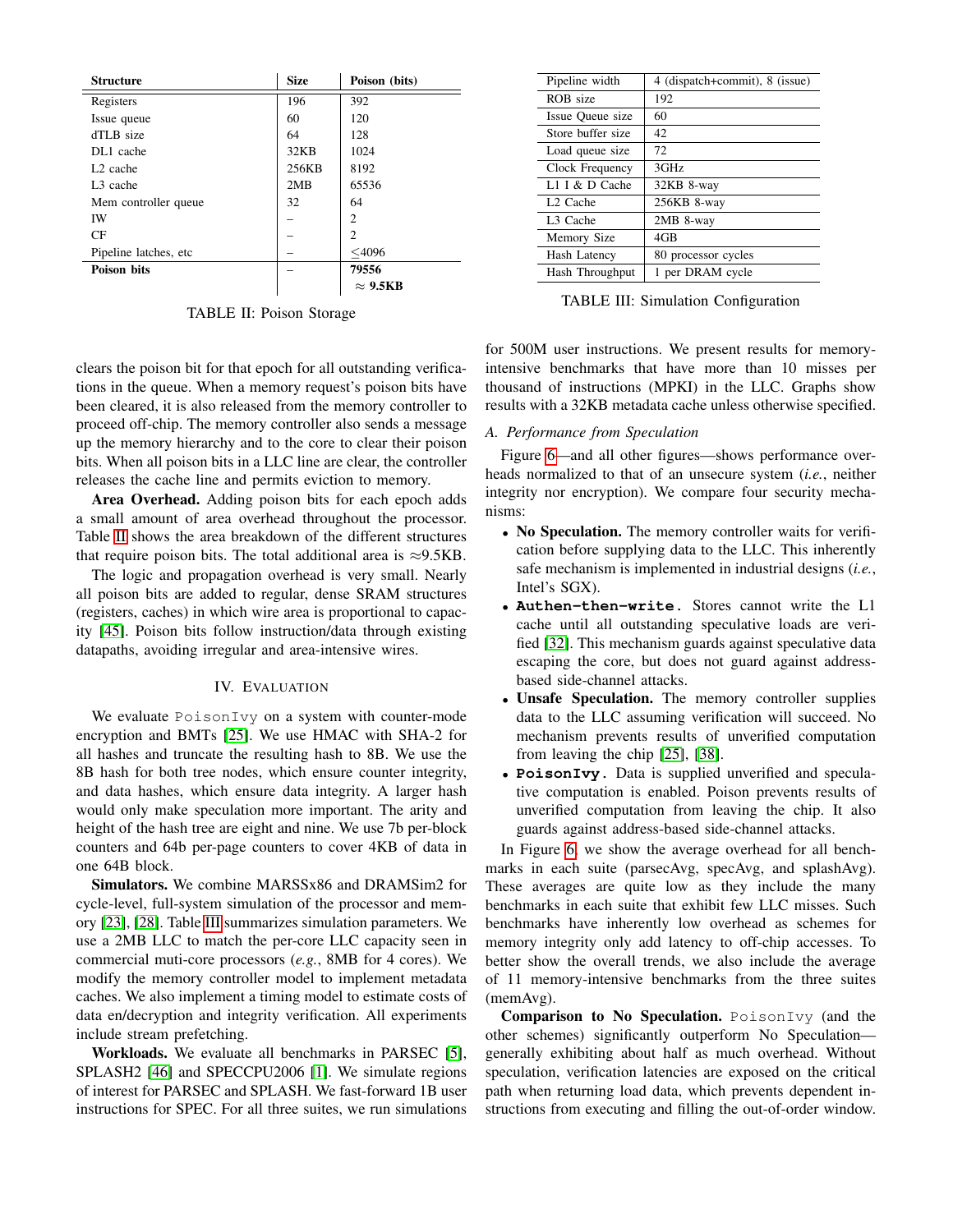<span id="page-7-1"></span>

| <b>Structure</b>       | <b>Size</b> | Poison (bits)   |
|------------------------|-------------|-----------------|
| Registers              | 196         | 392             |
| Issue queue            | 60          | 120             |
| dTLB size              | 64          | 128             |
| DL1 cache              | 32KB        | 1024            |
| L <sub>2</sub> cache   | 256KB       | 8192            |
| L <sub>3</sub> cache   | 2MB         | 65536           |
| Mem controller queue   | 32          | 64              |
| IW                     |             | $\overline{c}$  |
| CF                     |             | $\overline{c}$  |
| Pipeline latches, etc. |             | $<$ 4096        |
| <b>Poison bits</b>     |             | 79556           |
|                        |             | $\approx 9.5KB$ |

TABLE II: Poison Storage

clears the poison bit for that epoch for all outstanding verifications in the queue. When a memory request's poison bits have been cleared, it is also released from the memory controller to proceed off-chip. The memory controller also sends a message up the memory hierarchy and to the core to clear their poison bits. When all poison bits in a LLC line are clear, the controller releases the cache line and permits eviction to memory.

Area Overhead. Adding poison bits for each epoch adds a small amount of area overhead throughout the processor. Table [II](#page-7-1) shows the area breakdown of the different structures that require poison bits. The total additional area is  $\approx$ 9.5KB.

The logic and propagation overhead is very small. Nearly all poison bits are added to regular, dense SRAM structures (registers, caches) in which wire area is proportional to capacity [\[45\]](#page-12-20). Poison bits follow instruction/data through existing datapaths, avoiding irregular and area-intensive wires.

# IV. EVALUATION

<span id="page-7-0"></span>We evaluate PoisonIvy on a system with counter-mode encryption and BMTs [\[25\]](#page-12-7). We use HMAC with SHA-2 for all hashes and truncate the resulting hash to 8B. We use the 8B hash for both tree nodes, which ensure counter integrity, and data hashes, which ensure data integrity. A larger hash would only make speculation more important. The arity and height of the hash tree are eight and nine. We use 7b per-block counters and 64b per-page counters to cover 4KB of data in one 64B block.

Simulators. We combine MARSSx86 and DRAMSim2 for cycle-level, full-system simulation of the processor and memory [\[23\]](#page-12-21), [\[28\]](#page-12-22). Table [III](#page-7-2) summarizes simulation parameters. We use a 2MB LLC to match the per-core LLC capacity seen in commercial muti-core processors (*e.g.*, 8MB for 4 cores). We modify the memory controller model to implement metadata caches. We also implement a timing model to estimate costs of data en/decryption and integrity verification. All experiments include stream prefetching.

Workloads. We evaluate all benchmarks in PARSEC [\[5\]](#page-11-9), SPLASH2 [\[46\]](#page-12-23) and SPECCPU2006 [\[1\]](#page-11-10). We simulate regions of interest for PARSEC and SPLASH. We fast-forward 1B user instructions for SPEC. For all three suites, we run simulations

<span id="page-7-2"></span>

| Pipeline width       | 4 (dispatch+commit), 8 (issue) |  |  |  |  |  |
|----------------------|--------------------------------|--|--|--|--|--|
| ROB size             | 192                            |  |  |  |  |  |
| Issue Oueue size     | 60                             |  |  |  |  |  |
| Store buffer size    | 42.                            |  |  |  |  |  |
| Load queue size      | 72                             |  |  |  |  |  |
| Clock Frequency      | 3GHz                           |  |  |  |  |  |
| L1 I $&$ D Cache     | 32KB 8-way                     |  |  |  |  |  |
| L <sub>2</sub> Cache | 256KB 8-way                    |  |  |  |  |  |
| L <sub>3</sub> Cache | 2MB 8-way                      |  |  |  |  |  |
| Memory Size          | $4G$ B                         |  |  |  |  |  |
| <b>Hash Latency</b>  | 80 processor cycles            |  |  |  |  |  |
| Hash Throughput      | 1 per DRAM cycle               |  |  |  |  |  |
|                      |                                |  |  |  |  |  |

TABLE III: Simulation Configuration

for 500M user instructions. We present results for memoryintensive benchmarks that have more than 10 misses per thousand of instructions (MPKI) in the LLC. Graphs show results with a 32KB metadata cache unless otherwise specified.

# *A. Performance from Speculation*

Figure [6—](#page-8-0)and all other figures—shows performance overheads normalized to that of an unsecure system (*i.e.*, neither integrity nor encryption). We compare four security mechanisms:

- No Speculation. The memory controller waits for verification before supplying data to the LLC. This inherently safe mechanism is implemented in industrial designs (*i.e.*, Intel's SGX).
- **Authen-then-write**. Stores cannot write the L1 cache until all outstanding speculative loads are verified [\[32\]](#page-12-9). This mechanism guards against speculative data escaping the core, but does not guard against addressbased side-channel attacks.
- Unsafe Speculation. The memory controller supplies data to the LLC assuming verification will succeed. No mechanism prevents results of unverified computation from leaving the chip [\[25\]](#page-12-7), [\[38\]](#page-12-8).
- **PoisonIvy**. Data is supplied unverified and speculative computation is enabled. Poison prevents results of unverified computation from leaving the chip. It also guards against address-based side-channel attacks.

In Figure [6,](#page-8-0) we show the average overhead for all benchmarks in each suite (parsecAvg, specAvg, and splashAvg). These averages are quite low as they include the many benchmarks in each suite that exhibit few LLC misses. Such benchmarks have inherently low overhead as schemes for memory integrity only add latency to off-chip accesses. To better show the overall trends, we also include the average of 11 memory-intensive benchmarks from the three suites (memAvg).

Comparison to No Speculation. PoisonIvy (and the other schemes) significantly outperform No Speculation generally exhibiting about half as much overhead. Without speculation, verification latencies are exposed on the critical path when returning load data, which prevents dependent instructions from executing and filling the out-of-order window.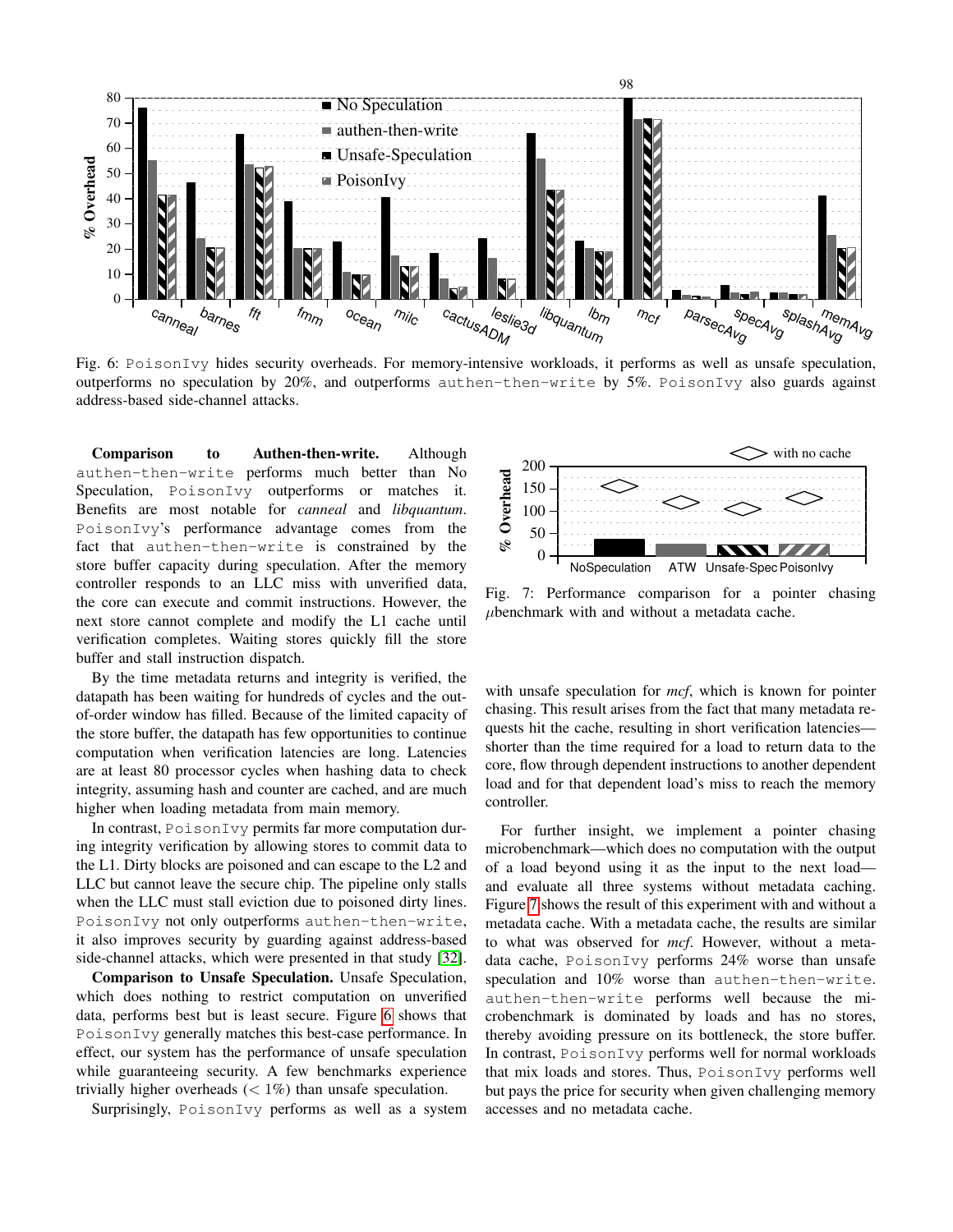<span id="page-8-0"></span>

Fig. 6: PoisonIvy hides security overheads. For memory-intensive workloads, it performs as well as unsafe speculation, outperforms no speculation by 20%, and outperforms authen-then-write by 5%. PoisonIvy also guards against address-based side-channel attacks.

Comparison to Authen-then-write. Although authen-then-write performs much better than No Speculation, PoisonIvy outperforms or matches it. Benefits are most notable for *canneal* and *libquantum*. PoisonIvy's performance advantage comes from the fact that authen-then-write is constrained by the store buffer capacity during speculation. After the memory controller responds to an LLC miss with unverified data, the core can execute and commit instructions. However, the next store cannot complete and modify the L1 cache until verification completes. Waiting stores quickly fill the store buffer and stall instruction dispatch.

By the time metadata returns and integrity is verified, the datapath has been waiting for hundreds of cycles and the outof-order window has filled. Because of the limited capacity of the store buffer, the datapath has few opportunities to continue computation when verification latencies are long. Latencies are at least 80 processor cycles when hashing data to check integrity, assuming hash and counter are cached, and are much higher when loading metadata from main memory.

In contrast, PoisonIvy permits far more computation during integrity verification by allowing stores to commit data to the L1. Dirty blocks are poisoned and can escape to the L2 and LLC but cannot leave the secure chip. The pipeline only stalls when the LLC must stall eviction due to poisoned dirty lines. PoisonIvy not only outperforms authen-then-write, it also improves security by guarding against address-based side-channel attacks, which were presented in that study [\[32\]](#page-12-9).

Comparison to Unsafe Speculation. Unsafe Speculation, which does nothing to restrict computation on unverified data, performs best but is least secure. Figure [6](#page-8-0) shows that PoisonIvy generally matches this best-case performance. In effect, our system has the performance of unsafe speculation while guaranteeing security. A few benchmarks experience trivially higher overheads  $(< 1\%)$  than unsafe speculation.

Surprisingly, PoisonIvy performs as well as a system

<span id="page-8-1"></span>

Fig. 7: Performance comparison for a pointer chasing  $\mu$ benchmark with and without a metadata cache.

with unsafe speculation for *mcf*, which is known for pointer chasing. This result arises from the fact that many metadata requests hit the cache, resulting in short verification latencies shorter than the time required for a load to return data to the core, flow through dependent instructions to another dependent load and for that dependent load's miss to reach the memory controller.

For further insight, we implement a pointer chasing microbenchmark—which does no computation with the output of a load beyond using it as the input to the next load and evaluate all three systems without metadata caching. Figure [7](#page-8-1) shows the result of this experiment with and without a metadata cache. With a metadata cache, the results are similar to what was observed for *mcf*. However, without a metadata cache, PoisonIvy performs 24% worse than unsafe speculation and 10% worse than authen-then-write. authen-then-write performs well because the microbenchmark is dominated by loads and has no stores, thereby avoiding pressure on its bottleneck, the store buffer. In contrast, PoisonIvy performs well for normal workloads that mix loads and stores. Thus, PoisonIvy performs well but pays the price for security when given challenging memory accesses and no metadata cache.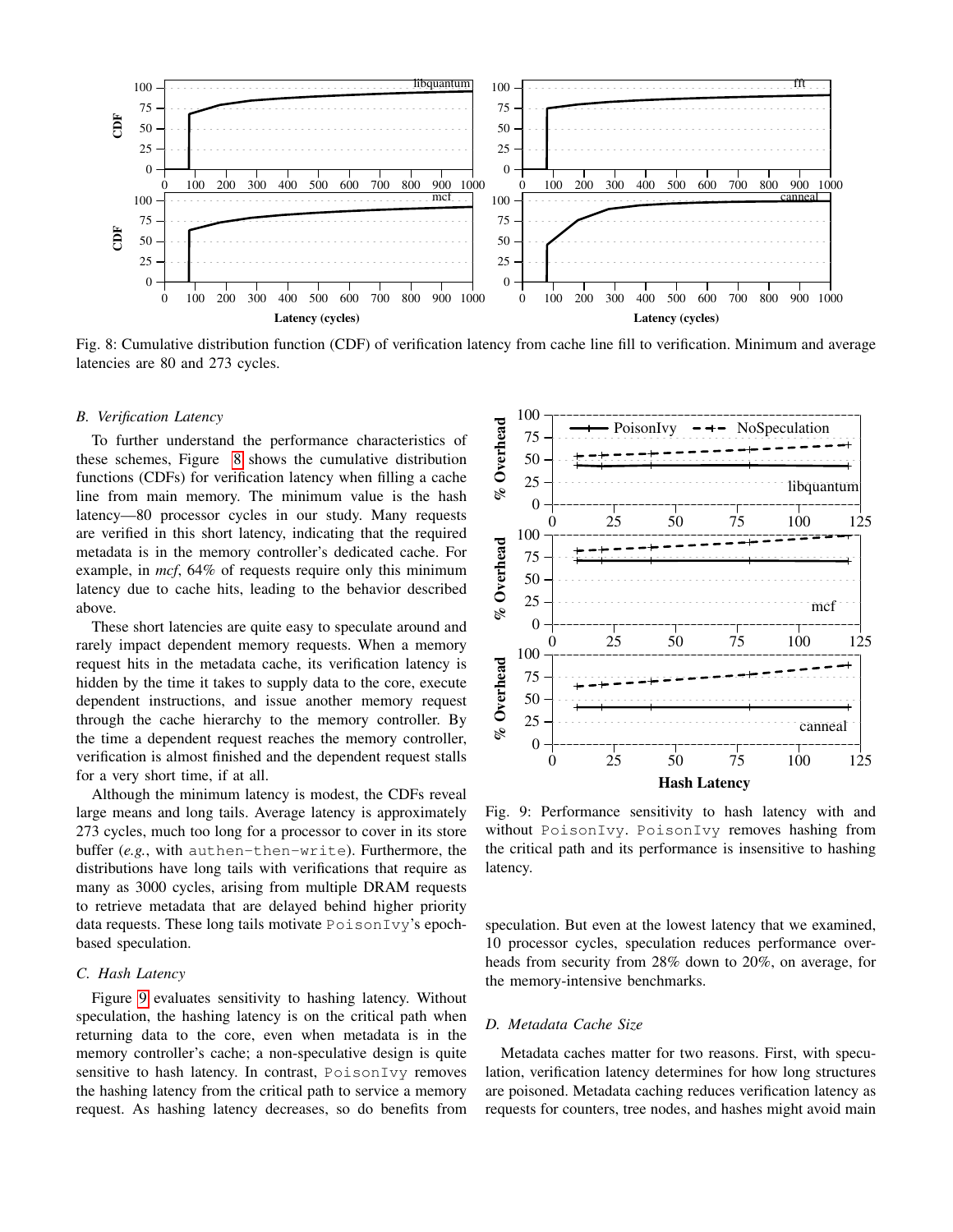<span id="page-9-0"></span>

Fig. 8: Cumulative distribution function (CDF) of verification latency from cache line fill to verification. Minimum and average latencies are 80 and 273 cycles.

#### *B. Verification Latency*

To further understand the performance characteristics of these schemes, Figure [8](#page-9-0) shows the cumulative distribution functions (CDFs) for verification latency when filling a cache line from main memory. The minimum value is the hash latency—80 processor cycles in our study. Many requests are verified in this short latency, indicating that the required metadata is in the memory controller's dedicated cache. For example, in *mcf*, 64% of requests require only this minimum latency due to cache hits, leading to the behavior described above.

These short latencies are quite easy to speculate around and rarely impact dependent memory requests. When a memory request hits in the metadata cache, its verification latency is hidden by the time it takes to supply data to the core, execute dependent instructions, and issue another memory request through the cache hierarchy to the memory controller. By the time a dependent request reaches the memory controller, verification is almost finished and the dependent request stalls for a very short time, if at all.

Although the minimum latency is modest, the CDFs reveal large means and long tails. Average latency is approximately 273 cycles, much too long for a processor to cover in its store buffer (*e.g.*, with authen-then-write). Furthermore, the distributions have long tails with verifications that require as many as 3000 cycles, arising from multiple DRAM requests to retrieve metadata that are delayed behind higher priority data requests. These long tails motivate PoisonIvy's epochbased speculation.

## *C. Hash Latency*

Figure [9](#page-9-1) evaluates sensitivity to hashing latency. Without speculation, the hashing latency is on the critical path when returning data to the core, even when metadata is in the memory controller's cache; a non-speculative design is quite sensitive to hash latency. In contrast, PoisonIvy removes the hashing latency from the critical path to service a memory request. As hashing latency decreases, so do benefits from

<span id="page-9-1"></span>

Fig. 9: Performance sensitivity to hash latency with and without PoisonIvy. PoisonIvy removes hashing from the critical path and its performance is insensitive to hashing latency.

speculation. But even at the lowest latency that we examined, 10 processor cycles, speculation reduces performance overheads from security from 28% down to 20%, on average, for the memory-intensive benchmarks.

# *D. Metadata Cache Size*

Metadata caches matter for two reasons. First, with speculation, verification latency determines for how long structures are poisoned. Metadata caching reduces verification latency as requests for counters, tree nodes, and hashes might avoid main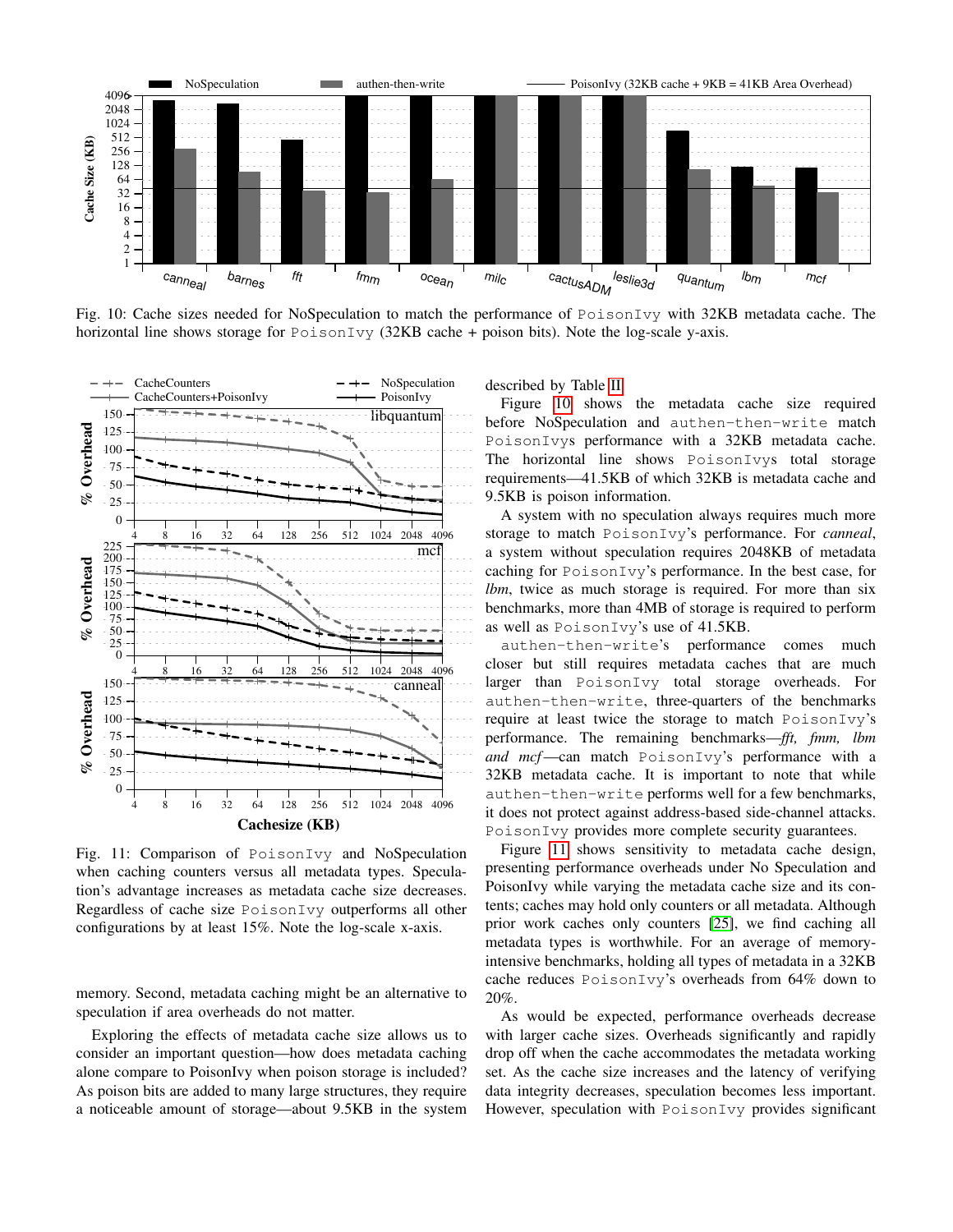<span id="page-10-0"></span>

Fig. 10: Cache sizes needed for NoSpeculation to match the performance of PoisonIvy with 32KB metadata cache. The horizontal line shows storage for PoisonIvy (32KB cache + poison bits). Note the log-scale y-axis.

<span id="page-10-1"></span>

Fig. 11: Comparison of PoisonIvy and NoSpeculation when caching counters versus all metadata types. Speculation's advantage increases as metadata cache size decreases. Regardless of cache size PoisonIvy outperforms all other configurations by at least 15%. Note the log-scale x-axis.

memory. Second, metadata caching might be an alternative to speculation if area overheads do not matter.

Exploring the effects of metadata cache size allows us to consider an important question—how does metadata caching alone compare to PoisonIvy when poison storage is included? As poison bits are added to many large structures, they require a noticeable amount of storage—about 9.5KB in the system

described by Table [II.](#page-7-1)

Figure [10](#page-10-0) shows the metadata cache size required before NoSpeculation and authen-then-write match PoisonIvys performance with a 32KB metadata cache. The horizontal line shows PoisonIvys total storage requirements—41.5KB of which 32KB is metadata cache and 9.5KB is poison information.

A system with no speculation always requires much more storage to match PoisonIvy's performance. For *canneal*, a system without speculation requires 2048KB of metadata caching for PoisonIvy's performance. In the best case, for *lbm*, twice as much storage is required. For more than six benchmarks, more than 4MB of storage is required to perform as well as PoisonIvy's use of 41.5KB.

authen-then-write's performance comes much closer but still requires metadata caches that are much larger than PoisonIvy total storage overheads. For authen-then-write, three-quarters of the benchmarks require at least twice the storage to match PoisonIvy's performance. The remaining benchmarks—*fft, fmm, lbm and mcf*—can match PoisonIvy's performance with a 32KB metadata cache. It is important to note that while authen-then-write performs well for a few benchmarks, it does not protect against address-based side-channel attacks. PoisonIvy provides more complete security guarantees.

Figure [11](#page-10-1) shows sensitivity to metadata cache design, presenting performance overheads under No Speculation and PoisonIvy while varying the metadata cache size and its contents; caches may hold only counters or all metadata. Although prior work caches only counters [\[25\]](#page-12-7), we find caching all metadata types is worthwhile. For an average of memoryintensive benchmarks, holding all types of metadata in a 32KB cache reduces PoisonIvy's overheads from 64% down to 20%.

As would be expected, performance overheads decrease with larger cache sizes. Overheads significantly and rapidly drop off when the cache accommodates the metadata working set. As the cache size increases and the latency of verifying data integrity decreases, speculation becomes less important. However, speculation with PoisonIvy provides significant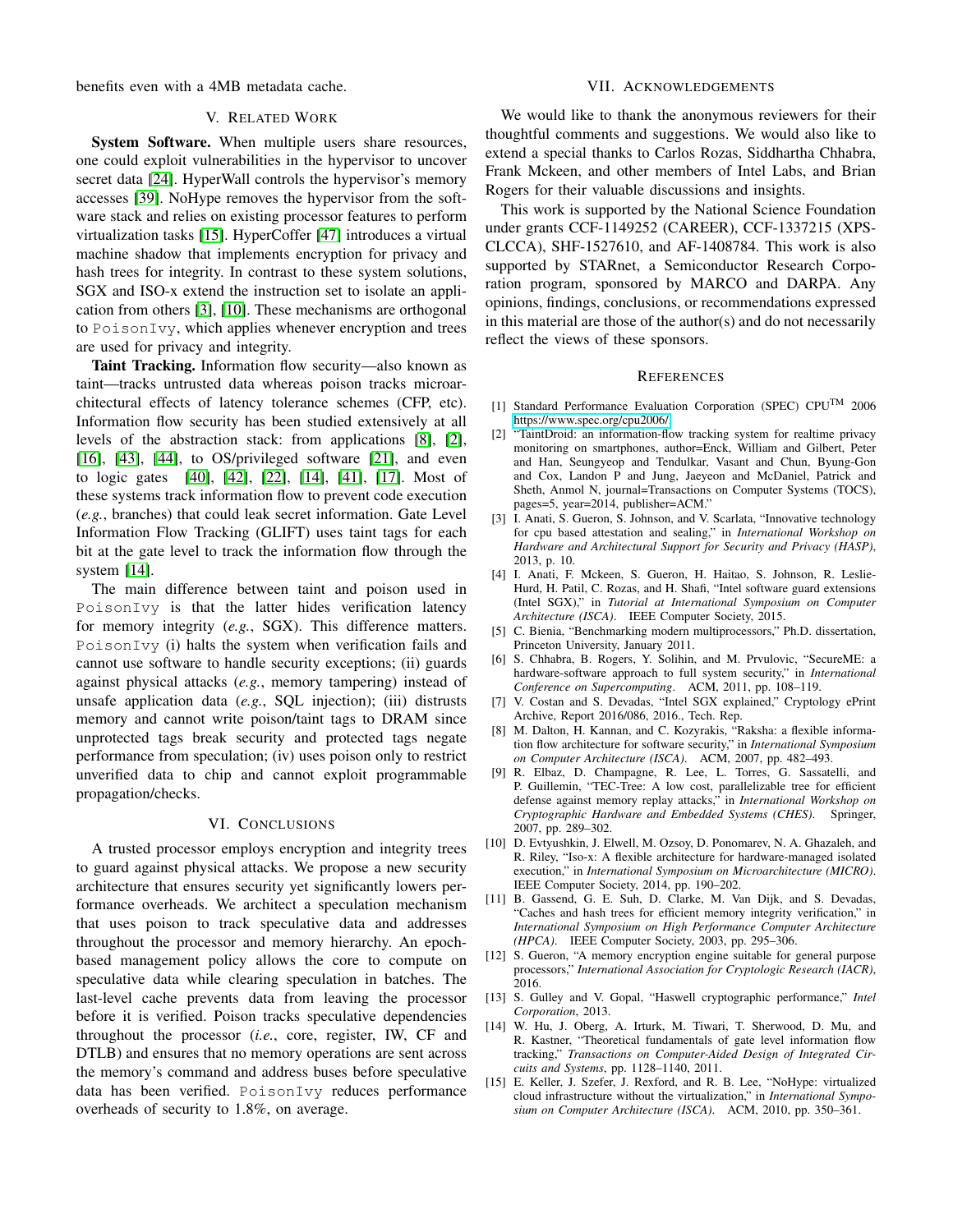benefits even with a 4MB metadata cache.

## V. RELATED WORK

System Software. When multiple users share resources, one could exploit vulnerabilities in the hypervisor to uncover secret data [\[24\]](#page-12-24). HyperWall controls the hypervisor's memory accesses [\[39\]](#page-12-25). NoHype removes the hypervisor from the software stack and relies on existing processor features to perform virtualization tasks [\[15\]](#page-11-5). HyperCoffer [\[47\]](#page-12-11) introduces a virtual machine shadow that implements encryption for privacy and hash trees for integrity. In contrast to these system solutions, SGX and ISO-x extend the instruction set to isolate an application from others [\[3\]](#page-11-11), [\[10\]](#page-11-6). These mechanisms are orthogonal to PoisonIvy, which applies whenever encryption and trees are used for privacy and integrity.

Taint Tracking. Information flow security—also known as taint—tracks untrusted data whereas poison tracks microarchitectural effects of latency tolerance schemes (CFP, etc). Information flow security has been studied extensively at all levels of the abstraction stack: from applications [\[8\]](#page-11-12), [\[2\]](#page-11-13), [\[16\]](#page-12-26), [\[43\]](#page-12-27), [\[44\]](#page-12-28), to OS/privileged software [\[21\]](#page-12-29), and even to logic gates [\[40\]](#page-12-30), [\[42\]](#page-12-31), [\[22\]](#page-12-32), [\[14\]](#page-11-14), [\[41\]](#page-12-33), [\[17\]](#page-12-34). Most of these systems track information flow to prevent code execution (*e.g.*, branches) that could leak secret information. Gate Level Information Flow Tracking (GLIFT) uses taint tags for each bit at the gate level to track the information flow through the system [\[14\]](#page-11-14).

The main difference between taint and poison used in PoisonIvy is that the latter hides verification latency for memory integrity (*e.g.*, SGX). This difference matters. PoisonIvy (i) halts the system when verification fails and cannot use software to handle security exceptions; (ii) guards against physical attacks (*e.g.*, memory tampering) instead of unsafe application data (*e.g.*, SQL injection); (iii) distrusts memory and cannot write poison/taint tags to DRAM since unprotected tags break security and protected tags negate performance from speculation; (iv) uses poison only to restrict unverified data to chip and cannot exploit programmable propagation/checks.

#### VI. CONCLUSIONS

A trusted processor employs encryption and integrity trees to guard against physical attacks. We propose a new security architecture that ensures security yet significantly lowers performance overheads. We architect a speculation mechanism that uses poison to track speculative data and addresses throughout the processor and memory hierarchy. An epochbased management policy allows the core to compute on speculative data while clearing speculation in batches. The last-level cache prevents data from leaving the processor before it is verified. Poison tracks speculative dependencies throughout the processor (*i.e.*, core, register, IW, CF and DTLB) and ensures that no memory operations are sent across the memory's command and address buses before speculative data has been verified. PoisonIvy reduces performance overheads of security to 1.8%, on average.

## VII. ACKNOWLEDGEMENTS

We would like to thank the anonymous reviewers for their thoughtful comments and suggestions. We would also like to extend a special thanks to Carlos Rozas, Siddhartha Chhabra, Frank Mckeen, and other members of Intel Labs, and Brian Rogers for their valuable discussions and insights.

This work is supported by the National Science Foundation under grants CCF-1149252 (CAREER), CCF-1337215 (XPS-CLCCA), SHF-1527610, and AF-1408784. This work is also supported by STARnet, a Semiconductor Research Corporation program, sponsored by MARCO and DARPA. Any opinions, findings, conclusions, or recommendations expressed in this material are those of the author(s) and do not necessarily reflect the views of these sponsors.

#### **REFERENCES**

- <span id="page-11-10"></span>[1] Standard Performance Evaluation Corporation (SPEC) CPUTM 2006 [https://www.spec.org/cpu2006/.](https://www.spec.org/cpu2006/)
- <span id="page-11-13"></span>[2] "TaintDroid: an information-flow tracking system for realtime privacy monitoring on smartphones, author=Enck, William and Gilbert, Peter and Han, Seungyeop and Tendulkar, Vasant and Chun, Byung-Gon and Cox, Landon P and Jung, Jaeyeon and McDaniel, Patrick and Sheth, Anmol N, journal=Transactions on Computer Systems (TOCS), pages=5, year=2014, publisher=ACM."
- <span id="page-11-11"></span>[3] I. Anati, S. Gueron, S. Johnson, and V. Scarlata, "Innovative technology for cpu based attestation and sealing," in *International Workshop on Hardware and Architectural Support for Security and Privacy (HASP)*, 2013, p. 10.
- <span id="page-11-3"></span>[4] I. Anati, F. Mckeen, S. Gueron, H. Haitao, S. Johnson, R. Leslie-Hurd, H. Patil, C. Rozas, and H. Shafi, "Intel software guard extensions (Intel SGX)," in *Tutorial at International Symposium on Computer Architecture (ISCA)*. IEEE Computer Society, 2015.
- <span id="page-11-9"></span>[5] C. Bienia, "Benchmarking modern multiprocessors," Ph.D. dissertation, Princeton University, January 2011.
- <span id="page-11-4"></span>[6] S. Chhabra, B. Rogers, Y. Solihin, and M. Prvulovic, "SecureME: a hardware-software approach to full system security," in *International Conference on Supercomputing*. ACM, 2011, pp. 108–119.
- <span id="page-11-7"></span>[7] V. Costan and S. Devadas, "Intel SGX explained," Cryptology ePrint Archive, Report 2016/086, 2016., Tech. Rep.
- <span id="page-11-12"></span>[8] M. Dalton, H. Kannan, and C. Kozyrakis, "Raksha: a flexible information flow architecture for software security," in *International Symposium on Computer Architecture (ISCA)*. ACM, 2007, pp. 482–493.
- <span id="page-11-1"></span>[9] R. Elbaz, D. Champagne, R. Lee, L. Torres, G. Sassatelli, and P. Guillemin, "TEC-Tree: A low cost, parallelizable tree for efficient defense against memory replay attacks," in *International Workshop on Cryptographic Hardware and Embedded Systems (CHES)*. Springer, 2007, pp. 289–302.
- <span id="page-11-6"></span>[10] D. Evtyushkin, J. Elwell, M. Ozsoy, D. Ponomarev, N. A. Ghazaleh, and R. Riley, "Iso-x: A flexible architecture for hardware-managed isolated execution," in *International Symposium on Microarchitecture (MICRO)*. IEEE Computer Society, 2014, pp. 190–202.
- <span id="page-11-2"></span>[11] B. Gassend, G. E. Suh, D. Clarke, M. Van Dijk, and S. Devadas, "Caches and hash trees for efficient memory integrity verification," in *International Symposium on High Performance Computer Architecture (HPCA)*. IEEE Computer Society, 2003, pp. 295–306.
- <span id="page-11-0"></span>[12] S. Gueron, "A memory encryption engine suitable for general purpose processors," *International Association for Cryptologic Research (IACR)*, 2016.
- <span id="page-11-8"></span>[13] S. Gulley and V. Gopal, "Haswell cryptographic performance," *Intel Corporation*, 2013.
- <span id="page-11-14"></span>[14] W. Hu, J. Oberg, A. Irturk, M. Tiwari, T. Sherwood, D. Mu, and R. Kastner, "Theoretical fundamentals of gate level information flow tracking," *Transactions on Computer-Aided Design of Integrated Circuits and Systems*, pp. 1128–1140, 2011.
- <span id="page-11-5"></span>[15] E. Keller, J. Szefer, J. Rexford, and R. B. Lee, "NoHype: virtualized cloud infrastructure without the virtualization," in *International Symposium on Computer Architecture (ISCA)*. ACM, 2010, pp. 350–361.